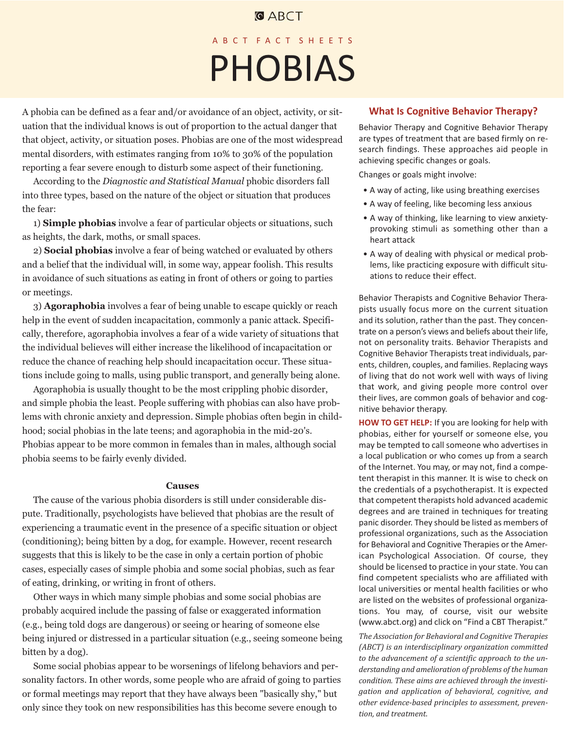## **GABCT**

# ABCT FACT SHEETS PHOBIAS

A phobia can be defined as a fear and/or avoidance of an object, activity, or situation that the individual knows is out of proportion to the actual danger that that object, activity, or situation poses. Phobias are one of the most widespread mental disorders, with estimates ranging from 10% to 30% of the population reporting a fear severe enough to disturb some aspect of their functioning.

According to the *Diagnostic and Statistical Manual* phobic disorders fall into three types, based on the nature of the object or situation that produces the fear:

1) **Simple phobias** involve a fear of particular objects or situations, such as heights, the dark, moths, or small spaces.

2) **Social phobias** involve a fear of being watched or evaluated by others and a belief that the individual will, in some way, appear foolish. This results in avoidance of such situations as eating in front of others or going to parties or meetings.

3) **Agoraphobia** involves a fear of being unable to escape quickly or reach help in the event of sudden incapacitation, commonly a panic attack. Specifically, therefore, agoraphobia involves a fear of a wide variety of situations that the individual believes will either increase the likelihood of incapacitation or reduce the chance of reaching help should incapacitation occur. These situations include going to malls, using public transport, and generally being alone.

Agoraphobia is usually thought to be the most crippling phobic disorder, and simple phobia the least. People suffering with phobias can also have problems with chronic anxiety and depression. Simple phobias often begin in childhood; social phobias in the late teens; and agoraphobia in the mid-20's. Phobias appear to be more common in females than in males, although social phobia seems to be fairly evenly divided.

**Causes** The cause of the various phobia disorders is still under considerable dispute. Traditionally, psychologists have believed that phobias are the result of experiencing a traumatic event in the presence of a specific situation or object (conditioning); being bitten by a dog, for example. However, recent research suggests that this is likely to be the case in only a certain portion of phobic cases, especially cases of simple phobia and some social phobias, such as fear of eating, drinking, or writing in front of others.

Other ways in which many simple phobias and some social phobias are probably acquired include the passing of false or exaggerated information (e.g., being told dogs are dangerous) or seeing or hearing of someone else being injured or distressed in a particular situation (e.g., seeing someone being bitten by a dog).

Some social phobias appear to be worsenings of lifelong behaviors and personality factors. In other words, some people who are afraid of going to parties or formal meetings may report that they have always been "basically shy," but only since they took on new responsibilities has this become severe enough to

#### **What Is Cognitive Behavior Therapy?**

Behavior Therapy and Cognitive Behavior Therapy are types of treatment that are based firmly on research findings. These approaches aid people in achieving specific changes or goals.

Changes or goals might involve:

- A way of acting, like using breathing exercises
- A way of feeling, like becoming less anxious
- A way of thinking, like learning to view anxietyprovoking stimuli as something other than a heart attack
- A way of dealing with physical or medical problems, like practicing exposure with difficult situations to reduce their effect.

Behavior Therapists and Cognitive Behavior Therapists usually focus more on the current situation and its solution, rather than the past. They concentrate on a person's views and beliefs about their life, not on personality traits. Behavior Therapists and Cognitive Behavior Therapists treat individuals, parents, children, couples, and families. Replacing ways of living that do not work well with ways of living that work, and giving people more control over their lives, are common goals of behavior and cognitive behavior therapy.

**HOW TO GET HELP:** If you are looking for help with phobias, either for yourself or someone else, you may be tempted to call someone who advertises in a local publication or who comes up from a search of the Internet. You may, or may not, find a competent therapist in this manner. It is wise to check on the credentials of a psychotherapist. It is expected that competent therapists hold advanced academic degrees and are trained in techniques for treating panic disorder. They should be listed as members of professional organizations, such as the Association for Behavioral and Cognitive Therapies or the American Psychological Association. Of course, they should be licensed to practice in your state. You can find competent specialists who are affiliated with local universities or mental health facilities or who are listed on the websites of professional organizations. You may, of course, visit our website (www.abct.org) and click on "Find a CBT Therapist."

*The Association for Behavioral and Cognitive Therapies (ABCT) is an interdisciplinary organization committed to the advancement of a scientific approach to the understanding and amelioration of problems of the human condition. These aims are achieved through the investigation and application of behavioral, cognitive, and other evidence-based principles to assessment, prevention, and treatment.*